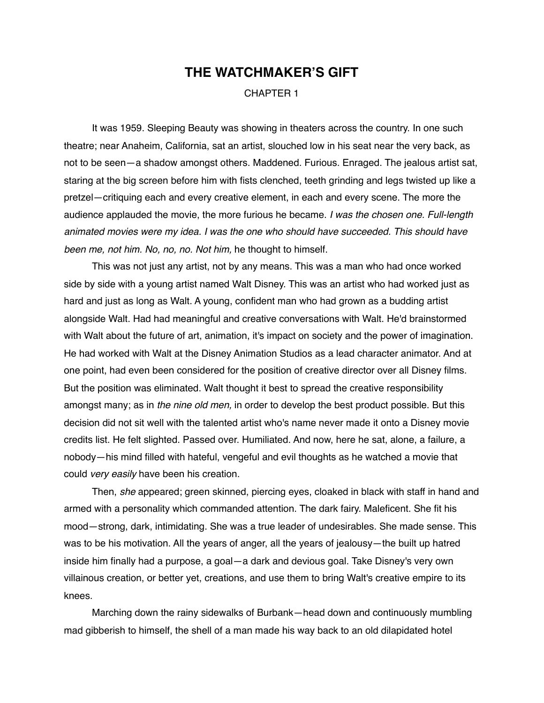## **THE WATCHMAKER'S GIFT** CHAPTER 1

It was 1959. Sleeping Beauty was showing in theaters across the country. In one such theatre; near Anaheim, California, sat an artist, slouched low in his seat near the very back, as not to be seen—a shadow amongst others. Maddened. Furious. Enraged. The jealous artist sat, staring at the big screen before him with fists clenched, teeth grinding and legs twisted up like a pretzel—critiquing each and every creative element, in each and every scene. The more the audience applauded the movie, the more furious he became. *I was the chosen one. Full-length animated movies were my idea. I was the one who should have succeeded. This should have been me, not him. No, no, no. Not him,* he thought to himself.

This was not just any artist, not by any means. This was a man who had once worked side by side with a young artist named Walt Disney. This was an artist who had worked just as hard and just as long as Walt. A young, confident man who had grown as a budding artist alongside Walt. Had had meaningful and creative conversations with Walt. He'd brainstormed with Walt about the future of art, animation, it's impact on society and the power of imagination. He had worked with Walt at the Disney Animation Studios as a lead character animator. And at one point, had even been considered for the position of creative director over all Disney films. But the position was eliminated. Walt thought it best to spread the creative responsibility amongst many; as in *the nine old men,* in order to develop the best product possible. But this decision did not sit well with the talented artist who's name never made it onto a Disney movie credits list. He felt slighted. Passed over. Humiliated. And now, here he sat, alone, a failure, a nobody—his mind filled with hateful, vengeful and evil thoughts as he watched a movie that could *very easily* have been his creation.

Then, *she* appeared; green skinned, piercing eyes, cloaked in black with staff in hand and armed with a personality which commanded attention. The dark fairy. Maleficent. She fit his mood—strong, dark, intimidating. She was a true leader of undesirables. She made sense. This was to be his motivation. All the years of anger, all the years of jealousy—the built up hatred inside him finally had a purpose, a goal—a dark and devious goal. Take Disney's very own villainous creation, or better yet, creations, and use them to bring Walt's creative empire to its knees.

Marching down the rainy sidewalks of Burbank—head down and continuously mumbling mad gibberish to himself, the shell of a man made his way back to an old dilapidated hotel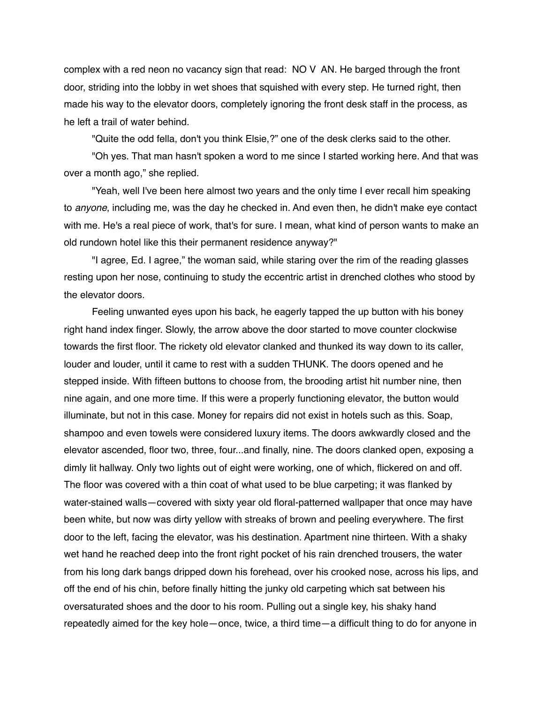complex with a red neon no vacancy sign that read: NO V AN. He barged through the front door, striding into the lobby in wet shoes that squished with every step. He turned right, then made his way to the elevator doors, completely ignoring the front desk staff in the process, as he left a trail of water behind.

"Quite the odd fella, don't you think Elsie,?" one of the desk clerks said to the other.

"Oh yes. That man hasn't spoken a word to me since I started working here. And that was over a month ago," she replied.

"Yeah, well I've been here almost two years and the only time I ever recall him speaking to *anyone*, including me, was the day he checked in. And even then, he didn't make eye contact with me. He's a real piece of work, that's for sure. I mean, what kind of person wants to make an old rundown hotel like this their permanent residence anyway?"

"I agree, Ed. I agree," the woman said, while staring over the rim of the reading glasses resting upon her nose, continuing to study the eccentric artist in drenched clothes who stood by the elevator doors.

Feeling unwanted eyes upon his back, he eagerly tapped the up button with his boney right hand index finger. Slowly, the arrow above the door started to move counter clockwise towards the first floor. The rickety old elevator clanked and thunked its way down to its caller, louder and louder, until it came to rest with a sudden THUNK. The doors opened and he stepped inside. With fifteen buttons to choose from, the brooding artist hit number nine, then nine again, and one more time. If this were a properly functioning elevator, the button would illuminate, but not in this case. Money for repairs did not exist in hotels such as this. Soap, shampoo and even towels were considered luxury items. The doors awkwardly closed and the elevator ascended, floor two, three, four...and finally, nine. The doors clanked open, exposing a dimly lit hallway. Only two lights out of eight were working, one of which, flickered on and off. The floor was covered with a thin coat of what used to be blue carpeting; it was flanked by water-stained walls—covered with sixty year old floral-patterned wallpaper that once may have been white, but now was dirty yellow with streaks of brown and peeling everywhere. The first door to the left, facing the elevator, was his destination. Apartment nine thirteen. With a shaky wet hand he reached deep into the front right pocket of his rain drenched trousers, the water from his long dark bangs dripped down his forehead, over his crooked nose, across his lips, and off the end of his chin, before finally hitting the junky old carpeting which sat between his oversaturated shoes and the door to his room. Pulling out a single key, his shaky hand repeatedly aimed for the key hole—once, twice, a third time—a difficult thing to do for anyone in